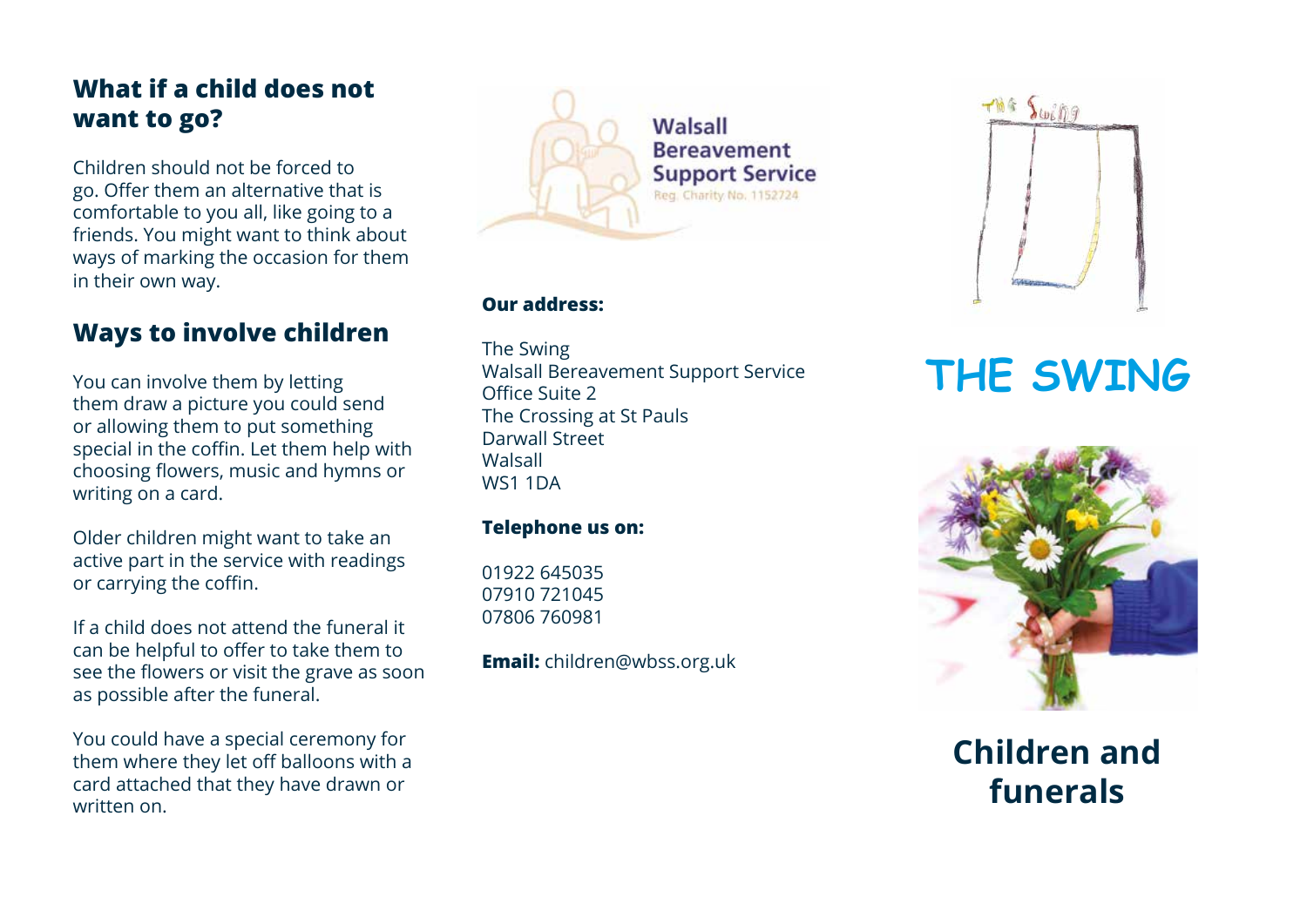## **What if a child does not want to go?**

Children should not be forced to go. Offer them an alternative that is comfortable to you all, like going to a friends. You might want to think about ways of marking the occasion for them in their own way.

## **Ways to involve children**

You can involve them by letting them draw a picture you could send or allowing them to put something special in the coffin. Let them help with choosing flowers, music and hymns or writing on a card.

Older children might want to take an active part in the service with readings or carrying the coffin.

If a child does not attend the funeral it can be helpful to offer to take them to see the flowers or visit the grave as soon as possible after the funeral.

You could have a special ceremony for them where they let off balloons with a card attached that they have drawn or written on.



#### **Our address:**

The Swing Walsall Bereavement Support Service Office Suite 2 The Crossing at St Pauls Darwall Street **Walsall** WS1 1DA

#### **Telephone us on:**

01922 645035 07910 721045 07806 760981

**Email:** children@wbss.org.uk



# **THE SWING**



**Children and funerals**